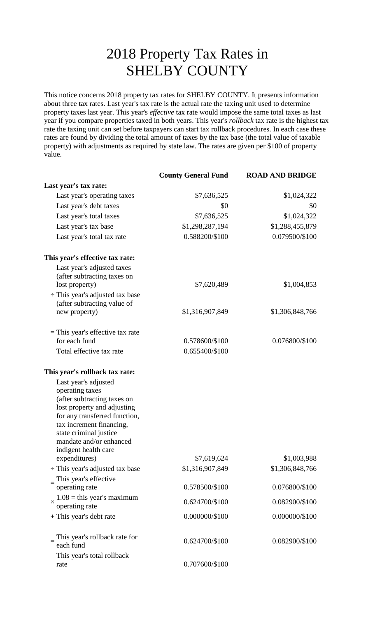## 2018 Property Tax Rates in SHELBY COUNTY

This notice concerns 2018 property tax rates for SHELBY COUNTY. It presents information about three tax rates. Last year's tax rate is the actual rate the taxing unit used to determine property taxes last year. This year's *effective* tax rate would impose the same total taxes as last year if you compare properties taxed in both years. This year's *rollback* tax rate is the highest tax rate the taxing unit can set before taxpayers can start tax rollback procedures. In each case these rates are found by dividing the total amount of taxes by the tax base (the total value of taxable property) with adjustments as required by state law. The rates are given per \$100 of property value.

|                                                            | <b>County General Fund</b> | <b>ROAD AND BRIDGE</b> |
|------------------------------------------------------------|----------------------------|------------------------|
| Last year's tax rate:                                      |                            |                        |
| Last year's operating taxes                                | \$7,636,525                | \$1,024,322            |
| Last year's debt taxes                                     | \$0                        | \$0                    |
| Last year's total taxes                                    | \$7,636,525                | \$1,024,322            |
| Last year's tax base                                       | \$1,298,287,194            | \$1,288,455,879        |
| Last year's total tax rate                                 | 0.588200/\$100             | 0.079500/\$100         |
| This year's effective tax rate:                            |                            |                        |
| Last year's adjusted taxes                                 |                            |                        |
| (after subtracting taxes on                                |                            |                        |
| lost property)                                             | \$7,620,489                | \$1,004,853            |
| $\div$ This year's adjusted tax base                       |                            |                        |
| (after subtracting value of<br>new property)               | \$1,316,907,849            | \$1,306,848,766        |
| $=$ This year's effective tax rate                         |                            |                        |
| for each fund                                              | 0.578600/\$100             | 0.076800/\$100         |
| Total effective tax rate                                   | 0.655400/\$100             |                        |
| This year's rollback tax rate:                             |                            |                        |
| Last year's adjusted                                       |                            |                        |
| operating taxes                                            |                            |                        |
| (after subtracting taxes on<br>lost property and adjusting |                            |                        |
| for any transferred function,                              |                            |                        |
| tax increment financing,                                   |                            |                        |
| state criminal justice                                     |                            |                        |
| mandate and/or enhanced                                    |                            |                        |
| indigent health care<br>expenditures)                      | \$7,619,624                | \$1,003,988            |
| ÷ This year's adjusted tax base                            | \$1,316,907,849            | \$1,306,848,766        |
| This year's effective                                      |                            |                        |
| operating rate                                             | 0.578500/\$100             | 0.076800/\$100         |
| $1.08$ = this year's maximum                               |                            |                        |
| $\times$<br>operating rate                                 | 0.624700/\$100             | 0.082900/\$100         |
| + This year's debt rate                                    | 0.000000/\$100             | 0.000000/\$100         |
| This year's rollback rate for                              | 0.624700/\$100             | 0.082900/\$100         |
| each fund                                                  |                            |                        |
| This year's total rollback<br>rate                         | 0.707600/\$100             |                        |
|                                                            |                            |                        |